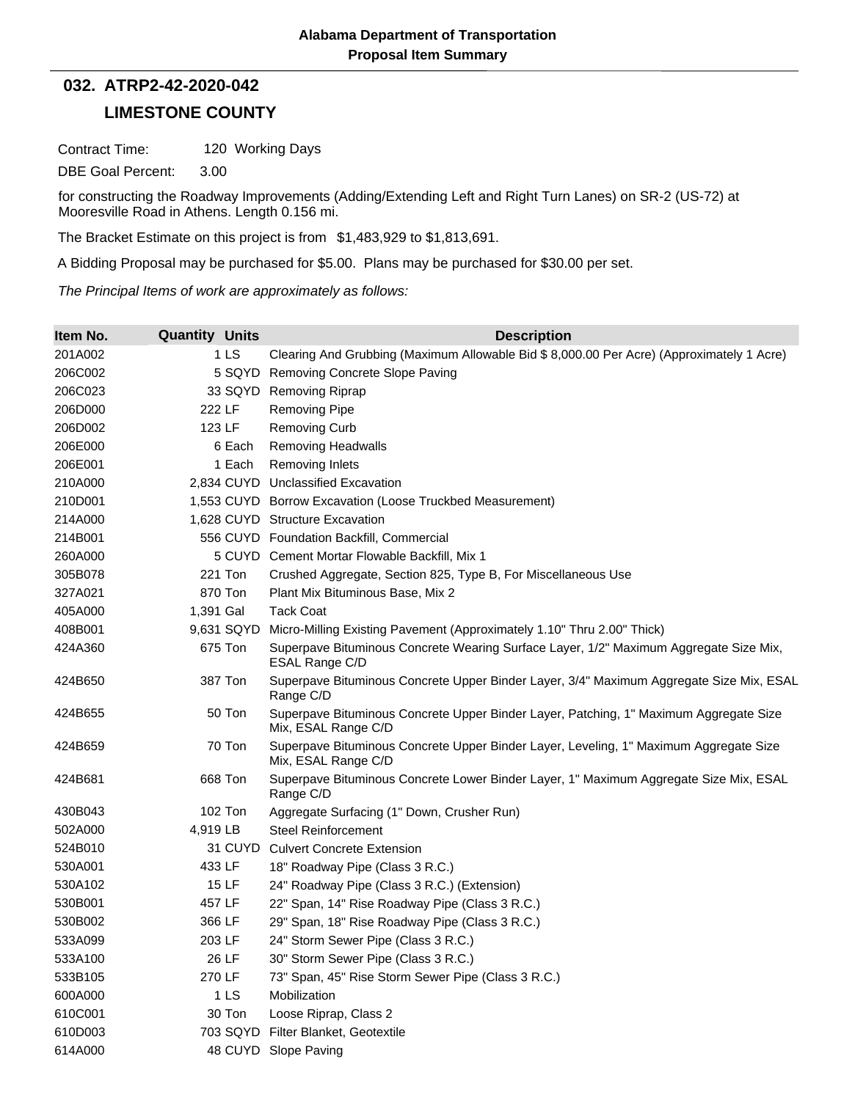## **LIMESTONE COUNTY 032. ATRP2-42-2020-042**

Contract Time: 120 Working Days

DBE Goal Percent: 3.00

for constructing the Roadway Improvements (Adding/Extending Left and Right Turn Lanes) on SR-2 (US-72) at Mooresville Road in Athens. Length 0.156 mi.

The Bracket Estimate on this project is from \$1,483,929 to \$1,813,691.

A Bidding Proposal may be purchased for \$5.00. Plans may be purchased for \$30.00 per set.

*The Principal Items of work are approximately as follows:*

| Item No. | <b>Quantity Units</b> | <b>Description</b>                                                                                           |
|----------|-----------------------|--------------------------------------------------------------------------------------------------------------|
| 201A002  | 1LS                   | Clearing And Grubbing (Maximum Allowable Bid \$ 8,000.00 Per Acre) (Approximately 1 Acre)                    |
| 206C002  | 5 SQYD                | Removing Concrete Slope Paving                                                                               |
| 206C023  | 33 SQYD               | <b>Removing Riprap</b>                                                                                       |
| 206D000  | 222 LF                | <b>Removing Pipe</b>                                                                                         |
| 206D002  | 123 LF                | <b>Removing Curb</b>                                                                                         |
| 206E000  | 6 Each                | <b>Removing Headwalls</b>                                                                                    |
| 206E001  | 1 Each                | Removing Inlets                                                                                              |
| 210A000  |                       | 2,834 CUYD Unclassified Excavation                                                                           |
| 210D001  |                       | 1,553 CUYD Borrow Excavation (Loose Truckbed Measurement)                                                    |
| 214A000  |                       | 1,628 CUYD Structure Excavation                                                                              |
| 214B001  |                       | 556 CUYD Foundation Backfill, Commercial                                                                     |
| 260A000  |                       | 5 CUYD Cement Mortar Flowable Backfill, Mix 1                                                                |
| 305B078  | 221 Ton               | Crushed Aggregate, Section 825, Type B, For Miscellaneous Use                                                |
| 327A021  | 870 Ton               | Plant Mix Bituminous Base, Mix 2                                                                             |
| 405A000  | 1,391 Gal             | <b>Tack Coat</b>                                                                                             |
| 408B001  | 9,631 SQYD            | Micro-Milling Existing Pavement (Approximately 1.10" Thru 2.00" Thick)                                       |
| 424A360  | 675 Ton               | Superpave Bituminous Concrete Wearing Surface Layer, 1/2" Maximum Aggregate Size Mix,<br>ESAL Range C/D      |
| 424B650  | 387 Ton               | Superpave Bituminous Concrete Upper Binder Layer, 3/4" Maximum Aggregate Size Mix, ESAL<br>Range C/D         |
| 424B655  | 50 Ton                | Superpave Bituminous Concrete Upper Binder Layer, Patching, 1" Maximum Aggregate Size<br>Mix, ESAL Range C/D |
| 424B659  | 70 Ton                | Superpave Bituminous Concrete Upper Binder Layer, Leveling, 1" Maximum Aggregate Size<br>Mix, ESAL Range C/D |
| 424B681  | 668 Ton               | Superpave Bituminous Concrete Lower Binder Layer, 1" Maximum Aggregate Size Mix, ESAL<br>Range C/D           |
| 430B043  | 102 Ton               | Aggregate Surfacing (1" Down, Crusher Run)                                                                   |
| 502A000  | 4,919 LB              | Steel Reinforcement                                                                                          |
| 524B010  | 31 CUYD               | <b>Culvert Concrete Extension</b>                                                                            |
| 530A001  | 433 LF                | 18" Roadway Pipe (Class 3 R.C.)                                                                              |
| 530A102  | 15 LF                 | 24" Roadway Pipe (Class 3 R.C.) (Extension)                                                                  |
| 530B001  | 457 LF                | 22" Span, 14" Rise Roadway Pipe (Class 3 R.C.)                                                               |
| 530B002  | 366 LF                | 29" Span, 18" Rise Roadway Pipe (Class 3 R.C.)                                                               |
| 533A099  | 203 LF                | 24" Storm Sewer Pipe (Class 3 R.C.)                                                                          |
| 533A100  | 26 LF                 | 30" Storm Sewer Pipe (Class 3 R.C.)                                                                          |
| 533B105  | 270 LF                | 73" Span, 45" Rise Storm Sewer Pipe (Class 3 R.C.)                                                           |
| 600A000  | 1LS                   | Mobilization                                                                                                 |
| 610C001  | 30 Ton                | Loose Riprap, Class 2                                                                                        |
| 610D003  | 703 SQYD              | Filter Blanket, Geotextile                                                                                   |
| 614A000  |                       | 48 CUYD Slope Paving                                                                                         |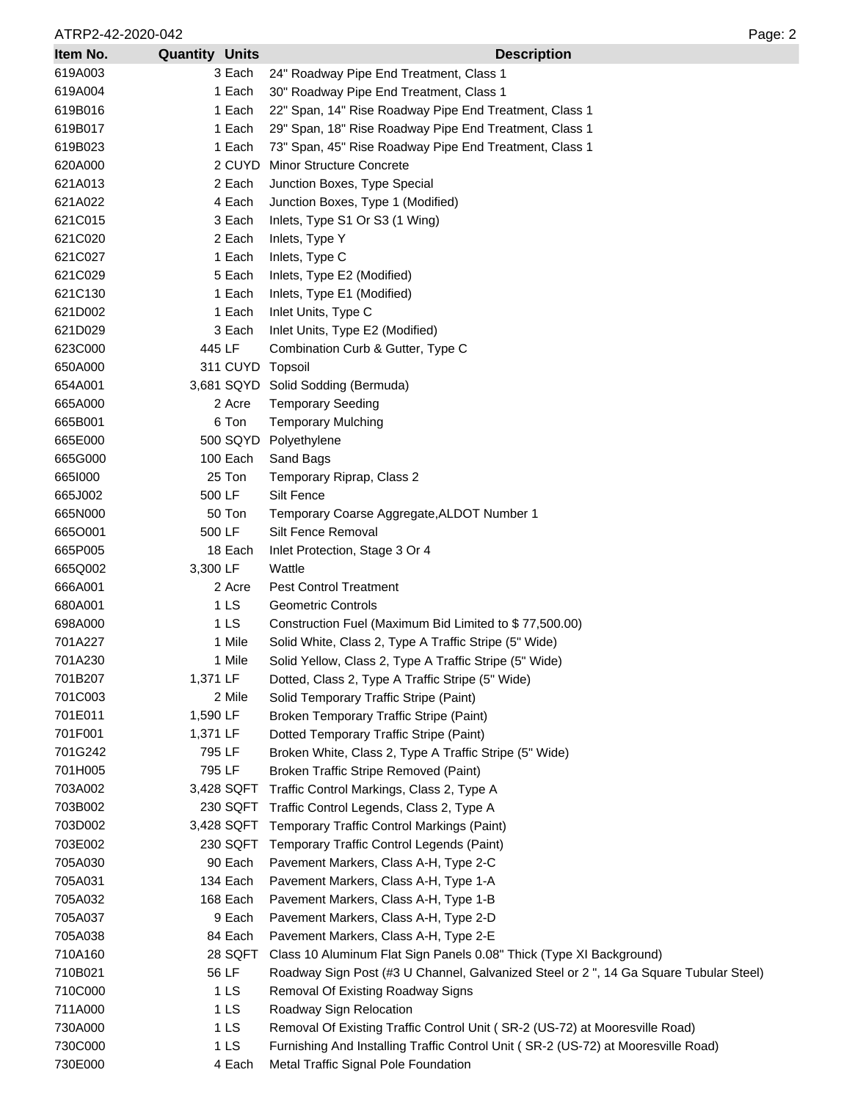ATRP2-42-2020-042 Page: 2

| Item No. | <b>Quantity Units</b> | <b>Description</b>                                                                   |
|----------|-----------------------|--------------------------------------------------------------------------------------|
| 619A003  | 3 Each                | 24" Roadway Pipe End Treatment, Class 1                                              |
| 619A004  | 1 Each                | 30" Roadway Pipe End Treatment, Class 1                                              |
| 619B016  | 1 Each                | 22" Span, 14" Rise Roadway Pipe End Treatment, Class 1                               |
| 619B017  | 1 Each                | 29" Span, 18" Rise Roadway Pipe End Treatment, Class 1                               |
| 619B023  | 1 Each                | 73" Span, 45" Rise Roadway Pipe End Treatment, Class 1                               |
| 620A000  | 2 CUYD                | <b>Minor Structure Concrete</b>                                                      |
| 621A013  | 2 Each                | Junction Boxes, Type Special                                                         |
| 621A022  | 4 Each                | Junction Boxes, Type 1 (Modified)                                                    |
| 621C015  | 3 Each                | Inlets, Type S1 Or S3 (1 Wing)                                                       |
| 621C020  | 2 Each                | Inlets, Type Y                                                                       |
| 621C027  | 1 Each                | Inlets, Type C                                                                       |
| 621C029  | 5 Each                | Inlets, Type E2 (Modified)                                                           |
| 621C130  | 1 Each                | Inlets, Type E1 (Modified)                                                           |
| 621D002  | 1 Each                | Inlet Units, Type C                                                                  |
| 621D029  | 3 Each                | Inlet Units, Type E2 (Modified)                                                      |
| 623C000  | 445 LF                | Combination Curb & Gutter, Type C                                                    |
| 650A000  | 311 CUYD              | Topsoil                                                                              |
| 654A001  |                       | 3,681 SQYD Solid Sodding (Bermuda)                                                   |
| 665A000  | 2 Acre                | <b>Temporary Seeding</b>                                                             |
| 665B001  | 6 Ton                 | <b>Temporary Mulching</b>                                                            |
| 665E000  | 500 SQYD              | Polyethylene                                                                         |
| 665G000  | 100 Each              | Sand Bags                                                                            |
| 6651000  | 25 Ton                | Temporary Riprap, Class 2                                                            |
| 665J002  | 500 LF                | <b>Silt Fence</b>                                                                    |
| 665N000  | 50 Ton                | Temporary Coarse Aggregate, ALDOT Number 1                                           |
| 6650001  | 500 LF                | Silt Fence Removal                                                                   |
| 665P005  | 18 Each               | Inlet Protection, Stage 3 Or 4                                                       |
| 665Q002  | 3,300 LF              | Wattle                                                                               |
| 666A001  | 2 Acre                | <b>Pest Control Treatment</b>                                                        |
| 680A001  | 1 LS                  | <b>Geometric Controls</b>                                                            |
| 698A000  | 1 LS                  | Construction Fuel (Maximum Bid Limited to \$77,500.00)                               |
| 701A227  | 1 Mile                | Solid White, Class 2, Type A Traffic Stripe (5" Wide)                                |
| 701A230  | 1 Mile                | Solid Yellow, Class 2, Type A Traffic Stripe (5" Wide)                               |
| 701B207  | 1,371 LF              | Dotted, Class 2, Type A Traffic Stripe (5" Wide)                                     |
| 701C003  | 2 Mile                | Solid Temporary Traffic Stripe (Paint)                                               |
| 701E011  | 1,590 LF              | Broken Temporary Traffic Stripe (Paint)                                              |
| 701F001  | 1,371 LF              | Dotted Temporary Traffic Stripe (Paint)                                              |
| 701G242  | 795 LF                | Broken White, Class 2, Type A Traffic Stripe (5" Wide)                               |
| 701H005  | 795 LF                | Broken Traffic Stripe Removed (Paint)                                                |
| 703A002  | 3,428 SQFT            | Traffic Control Markings, Class 2, Type A                                            |
| 703B002  | 230 SQFT              | Traffic Control Legends, Class 2, Type A                                             |
| 703D002  | 3,428 SQFT            | Temporary Traffic Control Markings (Paint)                                           |
| 703E002  | 230 SQFT              | Temporary Traffic Control Legends (Paint)                                            |
| 705A030  | 90 Each               | Pavement Markers, Class A-H, Type 2-C                                                |
| 705A031  | 134 Each              | Pavement Markers, Class A-H, Type 1-A                                                |
| 705A032  | 168 Each              | Pavement Markers, Class A-H, Type 1-B                                                |
| 705A037  | 9 Each                | Pavement Markers, Class A-H, Type 2-D                                                |
| 705A038  | 84 Each               | Pavement Markers, Class A-H, Type 2-E                                                |
| 710A160  | 28 SQFT               | Class 10 Aluminum Flat Sign Panels 0.08" Thick (Type XI Background)                  |
| 710B021  | 56 LF                 | Roadway Sign Post (#3 U Channel, Galvanized Steel or 2", 14 Ga Square Tubular Steel) |
| 710C000  | 1 LS                  | Removal Of Existing Roadway Signs                                                    |
| 711A000  | 1 <sub>LS</sub>       | Roadway Sign Relocation                                                              |
| 730A000  | 1 <sub>LS</sub>       | Removal Of Existing Traffic Control Unit (SR-2 (US-72) at Mooresville Road)          |
| 730C000  | 1 <sub>LS</sub>       | Furnishing And Installing Traffic Control Unit (SR-2 (US-72) at Mooresville Road)    |
| 730E000  | 4 Each                | Metal Traffic Signal Pole Foundation                                                 |